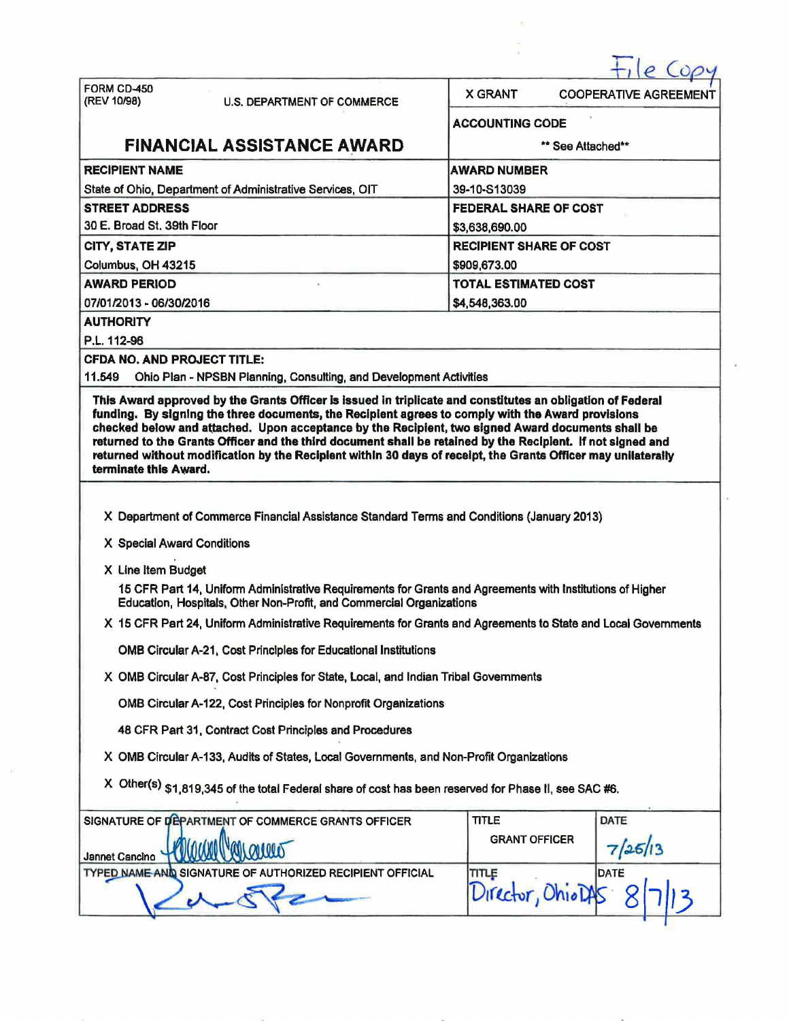|                                    |                                                                                                                                                                                   |                              | 0 (00)                         |  |  |
|------------------------------------|-----------------------------------------------------------------------------------------------------------------------------------------------------------------------------------|------------------------------|--------------------------------|--|--|
| FORM CD-450<br>(REV 10/98)         | <b>U.S. DEPARTMENT OF COMMERCE</b>                                                                                                                                                | <b>X GRANT</b>               | <b>COOPERATIVE AGREEMENT</b>   |  |  |
|                                    |                                                                                                                                                                                   | <b>ACCOUNTING CODE</b>       |                                |  |  |
|                                    | <b>FINANCIAL ASSISTANCE AWARD</b>                                                                                                                                                 |                              | ** See Attached**              |  |  |
| <b>RECIPIENT NAME</b>              |                                                                                                                                                                                   | <b>AWARD NUMBER</b>          |                                |  |  |
|                                    | State of Ohio, Department of Administrative Services, OIT                                                                                                                         | 39-10-S13039                 |                                |  |  |
| <b>STREET ADDRESS</b>              |                                                                                                                                                                                   | <b>FEDERAL SHARE OF COST</b> |                                |  |  |
| 30 E. Broad St. 39th Floor         |                                                                                                                                                                                   | \$3,638,690.00               |                                |  |  |
| CITY, STATE ZIP                    |                                                                                                                                                                                   |                              | <b>RECIPIENT SHARE OF COST</b> |  |  |
| Columbus, OH 43215                 |                                                                                                                                                                                   | \$909,673.00                 |                                |  |  |
| <b>AWARD PERIOD</b>                |                                                                                                                                                                                   |                              | <b>TOTAL ESTIMATED COST</b>    |  |  |
| 07/01/2013 - 06/30/2016            |                                                                                                                                                                                   | \$4,548,363.00               |                                |  |  |
| <b>AUTHORITY</b>                   |                                                                                                                                                                                   |                              |                                |  |  |
| P.L. 112-96                        |                                                                                                                                                                                   |                              |                                |  |  |
| <b>CFDA NO. AND PROJECT TITLE:</b> |                                                                                                                                                                                   |                              |                                |  |  |
| 11.549                             | Ohio Plan - NPSBN Planning, Consulting, and Development Activities<br>This Award approved by the Grants Officer is issued in triplicate and constitutes an obligation of Federal  |                              |                                |  |  |
| terminate this Award.              | X Department of Commerce Financial Assistance Standard Terms and Conditions (January 2013)                                                                                        |                              |                                |  |  |
| X Special Award Conditions         |                                                                                                                                                                                   |                              |                                |  |  |
| X Line Item Budget                 |                                                                                                                                                                                   |                              |                                |  |  |
|                                    | 15 CFR Part 14, Uniform Administrative Requirements for Grants and Agreements with Institutions of Higher<br>Education, Hospitals, Other Non-Profit, and Commercial Organizations |                              |                                |  |  |
|                                    | X 15 CFR Part 24, Uniform Administrative Requirements for Grants and Agreements to State and Local Governments                                                                    |                              |                                |  |  |
|                                    | <b>OMB Circular A-21, Cost Principles for Educational Institutions</b>                                                                                                            |                              |                                |  |  |
|                                    | X OMB Circular A-87, Cost Principles for State, Local, and Indian Tribal Governments                                                                                              |                              |                                |  |  |
|                                    | OMB Circular A-122, Cost Principles for Nonprofit Organizations                                                                                                                   |                              |                                |  |  |
|                                    | 48 CFR Part 31, Contract Cost Principles and Procedures                                                                                                                           |                              |                                |  |  |
|                                    | X OMB Circular A-133, Audits of States, Local Governments, and Non-Profit Organizations                                                                                           |                              |                                |  |  |
|                                    | X Other(s) \$1,819,345 of the total Federal share of cost has been reserved for Phase II, see SAC #6.                                                                             |                              |                                |  |  |
|                                    | SIGNATURE OF DEPARTMENT OF COMMERCE GRANTS OFFICER                                                                                                                                | <b>TITLE</b>                 | DATE                           |  |  |
|                                    |                                                                                                                                                                                   | <b>GRANT OFFICER</b>         |                                |  |  |
| Jannet Cancino                     |                                                                                                                                                                                   |                              |                                |  |  |
| <b>TYPED NAME AND</b>              | <b>HORIZED RECIPIENT OFFICIAL</b><br><b>SIGNATURE OF A</b>                                                                                                                        | TITLE<br>Director, OhiolA    | <b>DATE</b>                    |  |  |